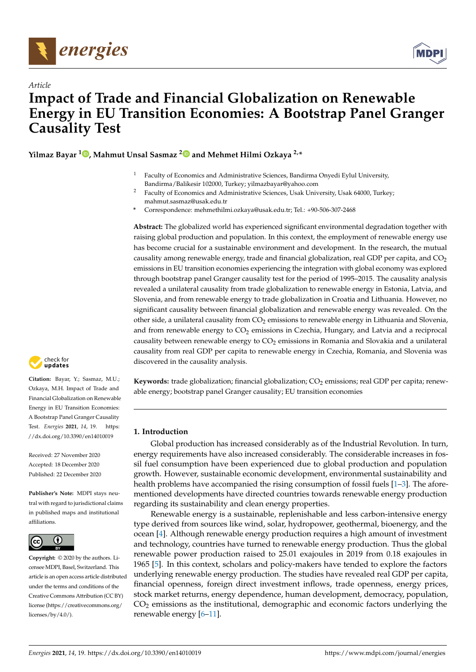

*Article*



# **Impact of Trade and Financial Globalization on Renewable Energy in EU Transition Economies: A Bootstrap Panel Granger Causality Test**

**Yilmaz Bayar <sup>1</sup> [,](https://orcid.org/0000-0002-6776-6524) Mahmut Unsal Sasmaz [2](https://orcid.org/0000-0001-9485-3933) and Mehmet Hilmi Ozkaya 2,\***

- <sup>1</sup> Faculty of Economics and Administrative Sciences, Bandirma Onyedi Eylul University, Bandirma/Balikesir 102000, Turkey; yilmazbayar@yahoo.com
- Faculty of Economics and Administrative Sciences, Usak University, Usak 64000, Turkey; mahmut.sasmaz@usak.edu.tr
- **\*** Correspondence: mehmethilmi.ozkaya@usak.edu.tr; Tel.: +90-506-307-2468

**Abstract:** The globalized world has experienced significant environmental degradation together with raising global production and population. In this context, the employment of renewable energy use has become crucial for a sustainable environment and development. In the research, the mutual causality among renewable energy, trade and financial globalization, real GDP per capita, and  $CO<sub>2</sub>$ emissions in EU transition economies experiencing the integration with global economy was explored through bootstrap panel Granger causality test for the period of 1995–2015. The causality analysis revealed a unilateral causality from trade globalization to renewable energy in Estonia, Latvia, and Slovenia, and from renewable energy to trade globalization in Croatia and Lithuania. However, no significant causality between financial globalization and renewable energy was revealed. On the other side, a unilateral causality from  $CO<sub>2</sub>$  emissions to renewable energy in Lithuania and Slovenia, and from renewable energy to  $CO<sub>2</sub>$  emissions in Czechia, Hungary, and Latvia and a reciprocal causality between renewable energy to  $CO<sub>2</sub>$  emissions in Romania and Slovakia and a unilateral causality from real GDP per capita to renewable energy in Czechia, Romania, and Slovenia was discovered in the causality analysis.

Keywords: trade globalization; financial globalization; CO<sub>2</sub> emissions; real GDP per capita; renewable energy; bootstrap panel Granger causality; EU transition economies

# **1. Introduction**

Global production has increased considerably as of the Industrial Revolution. In turn, energy requirements have also increased considerably. The considerable increases in fossil fuel consumption have been experienced due to global production and population growth. However, sustainable economic development, environmental sustainability and health problems have accompanied the rising consumption of fossil fuels [\[1–](#page-10-0)[3\]](#page-10-1). The aforementioned developments have directed countries towards renewable energy production regarding its sustainability and clean energy properties.

Renewable energy is a sustainable, replenishable and less carbon-intensive energy type derived from sources like wind, solar, hydropower, geothermal, bioenergy, and the ocean [\[4\]](#page-10-2). Although renewable energy production requires a high amount of investment and technology, countries have turned to renewable energy production. Thus the global renewable power production raised to 25.01 exajoules in 2019 from 0.18 exajoules in 1965 [\[5\]](#page-10-3). In this context, scholars and policy-makers have tended to explore the factors underlying renewable energy production. The studies have revealed real GDP per capita, financial openness, foreign direct investment inflows, trade openness, energy prices, stock market returns, energy dependence, human development, democracy, population,  $CO<sub>2</sub>$  emissions as the institutional, demographic and economic factors underlying the renewable energy [\[6](#page-10-4)[–11\]](#page-10-5).



**Citation:** Bayar, Y.; Sasmaz, M.U.; Ozkaya, M.H. Impact of Trade and Financial Globalization on Renewable Energy in EU Transition Economies: A Bootstrap Panel Granger Causality Test. *Energies* **2021**, *14*, 19. [https:](https://dx.doi.org/10.3390/en14010019) [//dx.doi.org/10.3390/en14010019](https://dx.doi.org/10.3390/en14010019)

Received: 27 November 2020 Accepted: 18 December 2020 Published: 22 December 2020

**Publisher's Note:** MDPI stays neutral with regard to jurisdictional claims in published maps and institutional affiliations.



**Copyright:** © 2020 by the authors. Licensee MDPI, Basel, Switzerland. This article is an open access article distributed under the terms and conditions of the Creative Commons Attribution (CC BY) license [\(https://creativecommons.org/](https://creativecommons.org/licenses/by/4.0/) [licenses/by/4.0/\)](https://creativecommons.org/licenses/by/4.0/).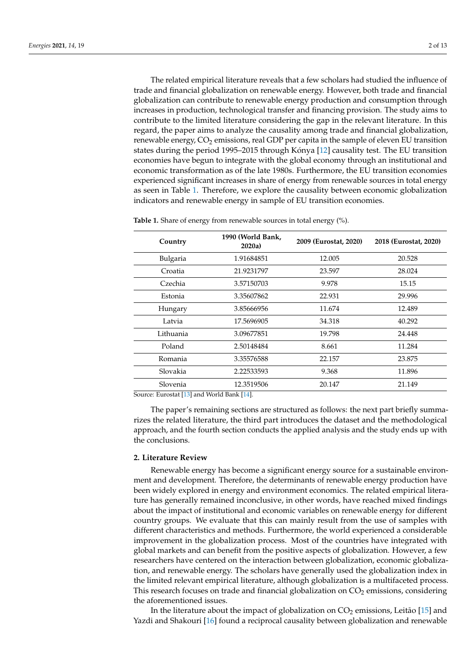The related empirical literature reveals that a few scholars had studied the influence of trade and financial globalization on renewable energy. However, both trade and financial globalization can contribute to renewable energy production and consumption through increases in production, technological transfer and financing provision. The study aims to contribute to the limited literature considering the gap in the relevant literature. In this regard, the paper aims to analyze the causality among trade and financial globalization, renewable energy,  $CO<sub>2</sub>$  emissions, real GDP per capita in the sample of eleven EU transition states during the period 1995–2015 through Kónya [\[12\]](#page-10-6) causality test. The EU transition economies have begun to integrate with the global economy through an institutional and economic transformation as of the late 1980s. Furthermore, the EU transition economies experienced significant increases in share of energy from renewable sources in total energy as seen in Table [1.](#page-1-0) Therefore, we explore the causality between economic globalization indicators and renewable energy in sample of EU transition economies.

| Country                                                                 | 1990 (World Bank,<br>2020a)   | 2009 (Eurostat, 2020) | 2018 (Eurostat, 2020) |
|-------------------------------------------------------------------------|-------------------------------|-----------------------|-----------------------|
| Bulgaria                                                                | 1.91684851                    | 12.005                | 20.528                |
| Croatia                                                                 | 21.9231797                    | 23.597                | 28.024                |
| Czechia                                                                 | 3.57150703                    | 9.978                 | 15.15                 |
| Estonia                                                                 | 3.35607862                    | 22.931                | 29.996                |
| Hungary                                                                 | 3.85666956                    | 11.674                | 12.489                |
| Latvia                                                                  | 17.5696905                    | 34.318                | 40.292                |
| Lithuania                                                               | 3.09677851                    | 19.798                | 24.448                |
| Poland                                                                  | 2.50148484                    | 8.661                 | 11.284                |
| Romania                                                                 | 3.35576588                    | 22.157                | 23.875                |
| Slovakia                                                                | 2.22533593                    | 9.368                 | 11.896                |
| Slovenia                                                                | 12.3519506                    | 20.147                | 21.149                |
| $\sim$<br>$\cdot$ $\cdot$ $\cdot$ $\cdot$ $\cdot$ $\cdot$ $\cdot$<br>T. | $1.347 - 1.1$ m $-1.54$ $1.1$ |                       |                       |

<span id="page-1-0"></span>**Table 1.** Share of energy from renewable sources in total energy (%).

Source: Eurostat [\[13\]](#page-10-7) and World Bank [\[14\]](#page-10-8).

The paper's remaining sections are structured as follows: the next part briefly summarizes the related literature, the third part introduces the dataset and the methodological approach, and the fourth section conducts the applied analysis and the study ends up with the conclusions.

#### **2. Literature Review**

Renewable energy has become a significant energy source for a sustainable environment and development. Therefore, the determinants of renewable energy production have been widely explored in energy and environment economics. The related empirical literature has generally remained inconclusive, in other words, have reached mixed findings about the impact of institutional and economic variables on renewable energy for different country groups. We evaluate that this can mainly result from the use of samples with different characteristics and methods. Furthermore, the world experienced a considerable improvement in the globalization process. Most of the countries have integrated with global markets and can benefit from the positive aspects of globalization. However, a few researchers have centered on the interaction between globalization, economic globalization, and renewable energy. The scholars have generally used the globalization index in the limited relevant empirical literature, although globalization is a multifaceted process. This research focuses on trade and financial globalization on  $CO<sub>2</sub>$  emissions, considering the aforementioned issues.

In the literature about the impact of globalization on  $CO_2$  emissions, Leitão [\[15\]](#page-10-9) and Yazdi and Shakouri [\[16\]](#page-10-10) found a reciprocal causality between globalization and renewable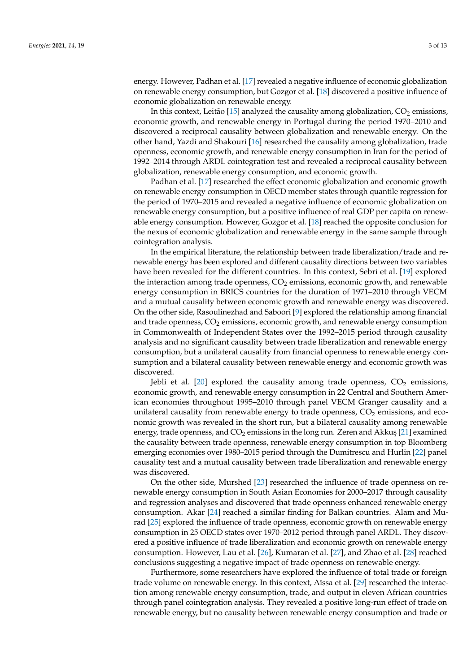energy. However, Padhan et al. [\[17\]](#page-10-11) revealed a negative influence of economic globalization on renewable energy consumption, but Gozgor et al. [\[18\]](#page-10-12) discovered a positive influence of economic globalization on renewable energy.

In this context, Leitão [\[15\]](#page-10-9) analyzed the causality among globalization,  $CO<sub>2</sub>$  emissions, economic growth, and renewable energy in Portugal during the period 1970–2010 and discovered a reciprocal causality between globalization and renewable energy. On the other hand, Yazdi and Shakouri [\[16\]](#page-10-10) researched the causality among globalization, trade openness, economic growth, and renewable energy consumption in Iran for the period of 1992–2014 through ARDL cointegration test and revealed a reciprocal causality between globalization, renewable energy consumption, and economic growth.

Padhan et al. [\[17\]](#page-10-11) researched the effect economic globalization and economic growth on renewable energy consumption in OECD member states through quantile regression for the period of 1970–2015 and revealed a negative influence of economic globalization on renewable energy consumption, but a positive influence of real GDP per capita on renewable energy consumption. However, Gozgor et al. [\[18\]](#page-10-12) reached the opposite conclusion for the nexus of economic globalization and renewable energy in the same sample through cointegration analysis.

In the empirical literature, the relationship between trade liberalization/trade and renewable energy has been explored and different causality directions between two variables have been revealed for the different countries. In this context, Sebri et al. [\[19\]](#page-10-13) explored the interaction among trade openness,  $CO<sub>2</sub>$  emissions, economic growth, and renewable energy consumption in BRICS countries for the duration of 1971–2010 through VECM and a mutual causality between economic growth and renewable energy was discovered. On the other side, Rasoulinezhad and Saboori [\[9\]](#page-10-14) explored the relationship among financial and trade openness,  $CO<sub>2</sub>$  emissions, economic growth, and renewable energy consumption in Commonwealth of Independent States over the 1992–2015 period through causality analysis and no significant causality between trade liberalization and renewable energy consumption, but a unilateral causality from financial openness to renewable energy consumption and a bilateral causality between renewable energy and economic growth was discovered.

Jebli et al. [\[20\]](#page-10-15) explored the causality among trade openness,  $CO<sub>2</sub>$  emissions, economic growth, and renewable energy consumption in 22 Central and Southern American economies throughout 1995–2010 through panel VECM Granger causality and a unilateral causality from renewable energy to trade openness,  $CO<sub>2</sub>$  emissions, and economic growth was revealed in the short run, but a bilateral causality among renewable energy, trade openness, and  $CO<sub>2</sub>$  emissions in the long run. Zeren and Akkus [\[21\]](#page-10-16) examined the causality between trade openness, renewable energy consumption in top Bloomberg emerging economies over 1980–2015 period through the Dumitrescu and Hurlin [\[22\]](#page-10-17) panel causality test and a mutual causality between trade liberalization and renewable energy was discovered.

On the other side, Murshed [\[23\]](#page-10-18) researched the influence of trade openness on renewable energy consumption in South Asian Economies for 2000–2017 through causality and regression analyses and discovered that trade openness enhanced renewable energy consumption. Akar [\[24\]](#page-10-19) reached a similar finding for Balkan countries. Alam and Murad [\[25\]](#page-10-20) explored the influence of trade openness, economic growth on renewable energy consumption in 25 OECD states over 1970–2012 period through panel ARDL. They discovered a positive influence of trade liberalization and economic growth on renewable energy consumption. However, Lau et al. [\[26\]](#page-11-0), Kumaran et al. [\[27\]](#page-11-1), and Zhao et al. [\[28\]](#page-11-2) reached conclusions suggesting a negative impact of trade openness on renewable energy.

Furthermore, some researchers have explored the influence of total trade or foreign trade volume on renewable energy. In this context, Aïssa et al. [\[29\]](#page-11-3) researched the interaction among renewable energy consumption, trade, and output in eleven African countries through panel cointegration analysis. They revealed a positive long-run effect of trade on renewable energy, but no causality between renewable energy consumption and trade or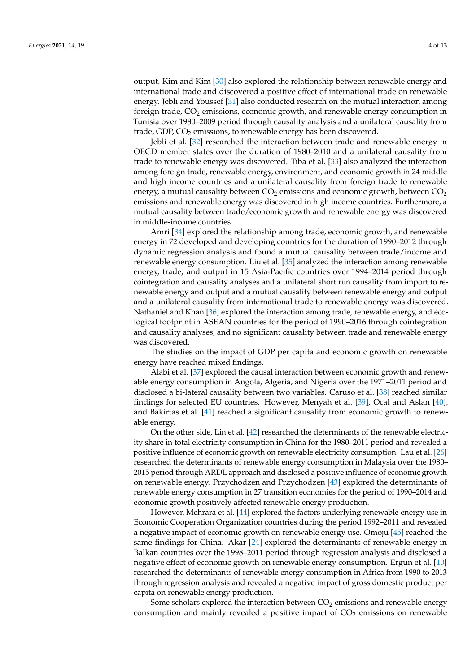output. Kim and Kim [\[30\]](#page-11-4) also explored the relationship between renewable energy and international trade and discovered a positive effect of international trade on renewable energy. Jebli and Youssef [\[31\]](#page-11-5) also conducted research on the mutual interaction among foreign trade,  $CO<sub>2</sub>$  emissions, economic growth, and renewable energy consumption in Tunisia over 1980–2009 period through causality analysis and a unilateral causality from trade, GDP,  $CO<sub>2</sub>$  emissions, to renewable energy has been discovered.

Jebli et al. [\[32\]](#page-11-6) researched the interaction between trade and renewable energy in OECD member states over the duration of 1980–2010 and a unilateral causality from trade to renewable energy was discovered. Tiba et al. [\[33\]](#page-11-7) also analyzed the interaction among foreign trade, renewable energy, environment, and economic growth in 24 middle and high income countries and a unilateral causality from foreign trade to renewable energy, a mutual causality between  $CO<sub>2</sub>$  emissions and economic growth, between  $CO<sub>2</sub>$ emissions and renewable energy was discovered in high income countries. Furthermore, a mutual causality between trade/economic growth and renewable energy was discovered in middle-income countries.

Amri [\[34\]](#page-11-8) explored the relationship among trade, economic growth, and renewable energy in 72 developed and developing countries for the duration of 1990–2012 through dynamic regression analysis and found a mutual causality between trade/income and renewable energy consumption. Liu et al. [\[35\]](#page-11-9) analyzed the interaction among renewable energy, trade, and output in 15 Asia-Pacific countries over 1994–2014 period through cointegration and causality analyses and a unilateral short run causality from import to renewable energy and output and a mutual causality between renewable energy and output and a unilateral causality from international trade to renewable energy was discovered. Nathaniel and Khan [\[36\]](#page-11-10) explored the interaction among trade, renewable energy, and ecological footprint in ASEAN countries for the period of 1990–2016 through cointegration and causality analyses, and no significant causality between trade and renewable energy was discovered.

The studies on the impact of GDP per capita and economic growth on renewable energy have reached mixed findings.

Alabi et al. [\[37\]](#page-11-11) explored the causal interaction between economic growth and renewable energy consumption in Angola, Algeria, and Nigeria over the 1971–2011 period and disclosed a bi-lateral causality between two variables. Caruso et al. [\[38\]](#page-11-12) reached similar findings for selected EU countries. However, Menyah et al. [\[39\]](#page-11-13), Ocal and Aslan [\[40\]](#page-11-14), and Bakirtas et al. [\[41\]](#page-11-15) reached a significant causality from economic growth to renewable energy.

On the other side, Lin et al. [\[42\]](#page-11-16) researched the determinants of the renewable electricity share in total electricity consumption in China for the 1980–2011 period and revealed a positive influence of economic growth on renewable electricity consumption. Lau et al. [\[26\]](#page-11-0) researched the determinants of renewable energy consumption in Malaysia over the 1980– 2015 period through ARDL approach and disclosed a positive influence of economic growth on renewable energy. Przychodzen and Przychodzen [\[43\]](#page-11-17) explored the determinants of renewable energy consumption in 27 transition economies for the period of 1990–2014 and economic growth positively affected renewable energy production.

However, Mehrara et al. [\[44\]](#page-11-18) explored the factors underlying renewable energy use in Economic Cooperation Organization countries during the period 1992–2011 and revealed a negative impact of economic growth on renewable energy use. Omoju [\[45\]](#page-11-19) reached the same findings for China. Akar [\[24\]](#page-10-19) explored the determinants of renewable energy in Balkan countries over the 1998–2011 period through regression analysis and disclosed a negative effect of economic growth on renewable energy consumption. Ergun et al. [\[10\]](#page-10-21) researched the determinants of renewable energy consumption in Africa from 1990 to 2013 through regression analysis and revealed a negative impact of gross domestic product per capita on renewable energy production.

Some scholars explored the interaction between  $CO<sub>2</sub>$  emissions and renewable energy consumption and mainly revealed a positive impact of  $CO<sub>2</sub>$  emissions on renewable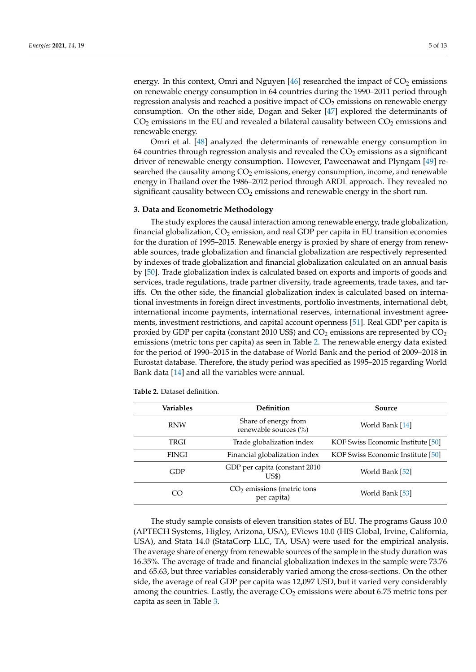energy. In this context, Omri and Nguyen  $[46]$  researched the impact of  $CO<sub>2</sub>$  emissions on renewable energy consumption in 64 countries during the 1990–2011 period through regression analysis and reached a positive impact of  $CO<sub>2</sub>$  emissions on renewable energy consumption. On the other side, Dogan and Seker [\[47\]](#page-11-21) explored the determinants of  $CO<sub>2</sub>$  emissions in the EU and revealed a bilateral causality between  $CO<sub>2</sub>$  emissions and renewable energy.

Omri et al. [\[48\]](#page-11-22) analyzed the determinants of renewable energy consumption in 64 countries through regression analysis and revealed the  $CO<sub>2</sub>$  emissions as a significant driver of renewable energy consumption. However, Paweenawat and Plyngam [\[49\]](#page-11-23) researched the causality among  $CO<sub>2</sub>$  emissions, energy consumption, income, and renewable energy in Thailand over the 1986–2012 period through ARDL approach. They revealed no significant causality between  $CO<sub>2</sub>$  emissions and renewable energy in the short run.

# **3. Data and Econometric Methodology**

The study explores the causal interaction among renewable energy, trade globalization, financial globalization,  $CO<sub>2</sub>$  emission, and real GDP per capita in EU transition economies for the duration of 1995–2015. Renewable energy is proxied by share of energy from renewable sources, trade globalization and financial globalization are respectively represented by indexes of trade globalization and financial globalization calculated on an annual basis by [\[50\]](#page-11-24). Trade globalization index is calculated based on exports and imports of goods and services, trade regulations, trade partner diversity, trade agreements, trade taxes, and tariffs. On the other side, the financial globalization index is calculated based on international investments in foreign direct investments, portfolio investments, international debt, international income payments, international reserves, international investment agreements, investment restrictions, and capital account openness [\[51\]](#page-11-25). Real GDP per capita is proxied by GDP per capita (constant 2010 US\$) and  $CO<sub>2</sub>$  emissions are represented by  $CO<sub>2</sub>$ emissions (metric tons per capita) as seen in Table [2.](#page-4-0) The renewable energy data existed for the period of 1990–2015 in the database of World Bank and the period of 2009–2018 in Eurostat database. Therefore, the study period was specified as 1995–2015 regarding World Bank data [\[14\]](#page-10-8) and all the variables were annual.

| Variables     | <b>Definition</b>                             | Source                            |
|---------------|-----------------------------------------------|-----------------------------------|
| <b>RNW</b>    | Share of energy from<br>renewable sources (%) | World Bank [14]                   |
| TRGI          | Trade globalization index                     | KOF Swiss Economic Institute [50] |
| <b>FINGI</b>  | Financial globalization index                 | KOF Swiss Economic Institute [50] |
| GDP           | GDP per capita (constant 2010)<br>US\$)       | World Bank [52]                   |
| <sub>CO</sub> | $CO2$ emissions (metric tons<br>per capita)   | World Bank [53]                   |

<span id="page-4-0"></span>**Table 2.** Dataset definition.

The study sample consists of eleven transition states of EU. The programs Gauss 10.0 (APTECH Systems, Higley, Arizona, USA), EViews 10.0 (HIS Global, Irvine, California, USA), and Stata 14.0 (StataCorp LLC, TA, USA) were used for the empirical analysis. The average share of energy from renewable sources of the sample in the study duration was 16.35%. The average of trade and financial globalization indexes in the sample were 73.76 and 65.63, but three variables considerably varied among the cross-sections. On the other side, the average of real GDP per capita was 12,097 USD, but it varied very considerably among the countries. Lastly, the average  $CO<sub>2</sub>$  emissions were about 6.75 metric tons per capita as seen in Table [3.](#page-5-0)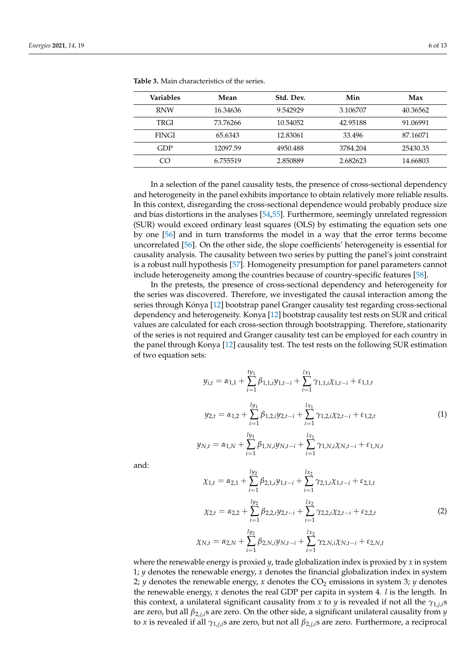| <b>Variables</b> | Mean     | Std. Dev. | Min      | Max      |
|------------------|----------|-----------|----------|----------|
| <b>RNW</b>       | 16.34636 | 9.542929  | 3.106707 | 40.36562 |
| TRGI             | 73.76266 | 10.54052  | 42.95188 | 91.06991 |
| <b>FINGI</b>     | 65.6343  | 12.83061  | 33.496   | 87.16071 |
| GDP              | 12097.59 | 4950.488  | 3784.204 | 25430.35 |
| CO               | 6.755519 | 2.850889  | 2.682623 | 14.66803 |

<span id="page-5-0"></span>**Table 3.** Main characteristics of the series.

In a selection of the panel causality tests, the presence of cross-sectional dependency and heterogeneity in the panel exhibits importance to obtain relatively more reliable results. In this context, disregarding the cross-sectional dependence would probably produce size and bias distortions in the analyses [\[54,](#page-11-28)[55\]](#page-11-29). Furthermore, seemingly unrelated regression (SUR) would exceed ordinary least squares (OLS) by estimating the equation sets one by one [\[56\]](#page-12-0) and in turn transforms the model in a way that the error terms become uncorrelated [\[56\]](#page-12-0). On the other side, the slope coefficients' heterogeneity is essential for causality analysis. The causality between two series by putting the panel's joint constraint is a robust null hypothesis [\[57\]](#page-12-1). Homogeneity presumption for panel parameters cannot include heterogeneity among the countries because of country-specific features [\[58\]](#page-12-2).

In the pretests, the presence of cross-sectional dependency and heterogeneity for the series was discovered. Therefore, we investigated the causal interaction among the series through Kónya [\[12\]](#page-10-6) bootstrap panel Granger causality test regarding cross-sectional dependency and heterogeneity. Konya [\[12\]](#page-10-6) bootstrap causality test rests on SUR and critical values are calculated for each cross-section through bootstrapping. Therefore, stationarity of the series is not required and Granger causality test can be employed for each country in the panel through Konya [\[12\]](#page-10-6) causality test. The test rests on the following SUR estimation of two equation sets:

$$
y_{i,t} = \alpha_{1,1} + \sum_{i=1}^{ty_1} \beta_{1,1,i} y_{1,t-i} + \sum_{i=1}^{lx_1} \gamma_{1,1,i} \chi_{1,t-i} + \varepsilon_{1,1,t}
$$
  
\n
$$
y_{2,t} = \alpha_{1,2} + \sum_{i=1}^{ly_1} \beta_{1,2,i} y_{2,t-i} + \sum_{i=1}^{lx_1} \gamma_{1,2,i} \chi_{2,t-i} + \varepsilon_{1,2,t}
$$
  
\n
$$
y_{N,t} = \alpha_{1,N} + \sum_{i=1}^{ly_1} \beta_{1,N,i} y_{N,t-i} + \sum_{i=1}^{lx_1} \gamma_{1,N,i} \chi_{N,t-i} + \varepsilon_{1,N,t}
$$
  
\n(1)

and:

$$
\chi_{1,t} = \alpha_{2,1} + \sum_{i=1}^{ly_2} \beta_{2,1,i} y_{1,t-i} + \sum_{i=1}^{lx_2} \gamma_{2,1,i} \chi_{1,t-i} + \varepsilon_{2,1,t}
$$
  

$$
\chi_{2,t} = \alpha_{2,2} + \sum_{i=1}^{ly_2} \beta_{2,2,i} y_{2,t-i} + \sum_{i=1}^{lx_2} \gamma_{2,2,i} \chi_{2,t-i} + \varepsilon_{2,2,t}
$$
  

$$
\chi_{N,t} = \alpha_{2,N} + \sum_{i=1}^{ly_2} \beta_{2,N,i} y_{N,t-i} + \sum_{i=1}^{lx_2} \gamma_{2,N,i} \chi_{N,t-i} + \varepsilon_{2,N,t}
$$
 (2)

where the renewable energy is proxied *y*, trade globalization index is proxied by *x* in system 1; *y* denotes the renewable energy, *x* denotes the financial globalization index in system 2; *y* denotes the renewable energy, *x* denotes the CO<sub>2</sub> emissions in system 3; *y* denotes the renewable energy, *x* denotes the real GDP per capita in system 4. *l* is the length. In this context, a unilateral significant causality from *x* to *y* is revealed if not all the *γ*1,*j*,*i*s are zero, but all *β*2,*j*,*i*s are zero. On the other side, a significant unilateral causality from *y* to *x* is revealed if all *γ*1,*j*,*i*s are zero, but not all *β*2,*j*,*i*s are zero. Furthermore, a reciprocal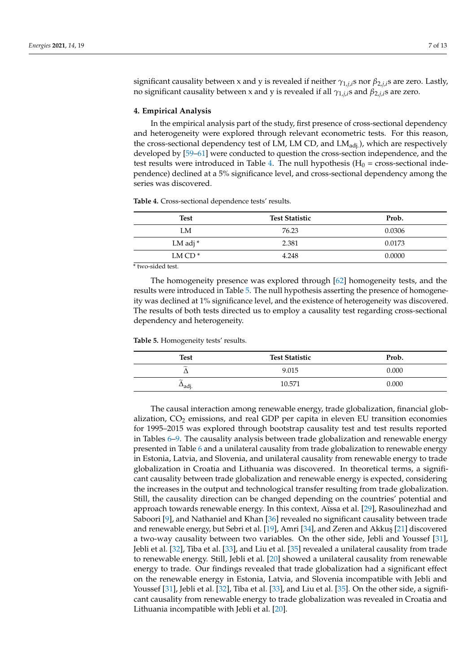significant causality between x and y is revealed if neither *γ*1,*j*,*i*s nor *β*2,*j*,*i*s are zero. Lastly, no significant causality between x and y is revealed if all  $γ_{1,i,i}$ s and  $β_{2,i,i}$ s are zero.

## **4. Empirical Analysis**

In the empirical analysis part of the study, first presence of cross-sectional dependency and heterogeneity were explored through relevant econometric tests. For this reason, the cross-sectional dependency test of LM, LM CD, and  $LM<sub>adi</sub>$ ), which are respectively developed by [\[59](#page-12-3)[–61\]](#page-12-4) were conducted to question the cross-section independence, and the test results were introduced in Table [4.](#page-6-0) The null hypothesis ( $H_0$  = cross-sectional independence) declined at a 5% significance level, and cross-sectional dependency among the series was discovered.

| Test      | <b>Test Statistic</b> | Prob.  |
|-----------|-----------------------|--------|
| LM        | 76.23                 | 0.0306 |
| LM adj *  | 2.381                 | 0.0173 |
| LM $CD^*$ | 4.248                 | 0.0000 |
|           |                       |        |

<span id="page-6-0"></span>**Table 4.** Cross-sectional dependence tests' results.

\* two-sided test.

The homogeneity presence was explored through [\[62\]](#page-12-5) homogeneity tests, and the results were introduced in Table [5.](#page-6-1) The null hypothesis asserting the presence of homogeneity was declined at 1% significance level, and the existence of heterogeneity was discovered. The results of both tests directed us to employ a causality test regarding cross-sectional dependency and heterogeneity.

<span id="page-6-1"></span>**Table 5.** Homogeneity tests' results.

| Test                                                | <b>Test Statistic</b> | Prob. |
|-----------------------------------------------------|-----------------------|-------|
| $\widetilde{\phantom{m}}$                           | 9.015                 | 0.000 |
| $\widetilde{\phantom{m}}$<br>$\rightharpoonup$ adj. | 10.571                | 0.000 |

The causal interaction among renewable energy, trade globalization, financial globalization,  $CO<sub>2</sub>$  emissions, and real GDP per capita in eleven EU transition economies for 1995–2015 was explored through bootstrap causality test and test results reported in Tables [6–](#page-7-0)[9.](#page-8-0) The causality analysis between trade globalization and renewable energy presented in Table [6](#page-7-0) and a unilateral causality from trade globalization to renewable energy in Estonia, Latvia, and Slovenia, and unilateral causality from renewable energy to trade globalization in Croatia and Lithuania was discovered. In theoretical terms, a significant causality between trade globalization and renewable energy is expected, considering the increases in the output and technological transfer resulting from trade globalization. Still, the causality direction can be changed depending on the countries' potential and approach towards renewable energy. In this context, Aïssa et al. [\[29\]](#page-11-3), Rasoulinezhad and Saboori [\[9\]](#page-10-14), and Nathaniel and Khan [\[36\]](#page-11-10) revealed no significant causality between trade and renewable energy, but Sebri et al. [\[19\]](#page-10-13), Amri [\[34\]](#page-11-8), and Zeren and Akkuş [\[21\]](#page-10-16) discovered a two-way causality between two variables. On the other side, Jebli and Youssef [\[31\]](#page-11-5), Jebli et al. [\[32\]](#page-11-6), Tiba et al. [\[33\]](#page-11-7), and Liu et al. [\[35\]](#page-11-9) revealed a unilateral causality from trade to renewable energy. Still, Jebli et al. [\[20\]](#page-10-15) showed a unilateral causality from renewable energy to trade. Our findings revealed that trade globalization had a significant effect on the renewable energy in Estonia, Latvia, and Slovenia incompatible with Jebli and Youssef [\[31\]](#page-11-5), Jebli et al. [\[32\]](#page-11-6), Tiba et al. [\[33\]](#page-11-7), and Liu et al. [\[35\]](#page-11-9). On the other side, a significant causality from renewable energy to trade globalization was revealed in Croatia and Lithuania incompatible with Jebli et al. [\[20\]](#page-10-15).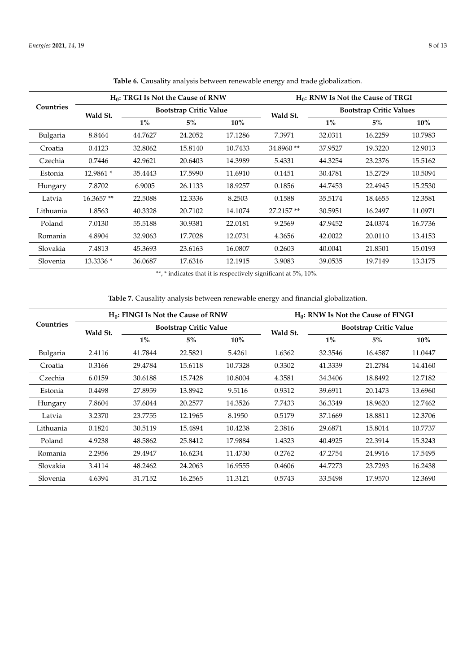<span id="page-7-0"></span>

| Countries | $H_0$ : TRGI Is Not the Cause of RNW |                               |         | $H_0$ : RNW Is Not the Cause of TRGI |           |                                |         |         |
|-----------|--------------------------------------|-------------------------------|---------|--------------------------------------|-----------|--------------------------------|---------|---------|
|           | Wald St.                             | <b>Bootstrap Critic Value</b> |         |                                      | Wald St.  | <b>Bootstrap Critic Values</b> |         |         |
|           |                                      | $1\%$                         | $5\%$   | $10\%$                               |           | $1\%$                          | $5\%$   | $10\%$  |
| Bulgaria  | 8.8464                               | 44.7627                       | 24.2052 | 17.1286                              | 7.3971    | 32.0311                        | 16.2259 | 10.7983 |
| Croatia   | 0.4123                               | 32.8062                       | 15.8140 | 10.7433                              | 34.8960** | 37.9527                        | 19.3220 | 12.9013 |
| Czechia   | 0.7446                               | 42.9621                       | 20.6403 | 14.3989                              | 5.4331    | 44.3254                        | 23.2376 | 15.5162 |
| Estonia   | 12.9861 *                            | 35.4443                       | 17.5990 | 11.6910                              | 0.1451    | 30.4781                        | 15.2729 | 10.5094 |
| Hungary   | 7.8702                               | 6.9005                        | 26.1133 | 18.9257                              | 0.1856    | 44.7453                        | 22.4945 | 15.2530 |
| Latvia    | 16.3657**                            | 22.5088                       | 12.3336 | 8.2503                               | 0.1588    | 35.5174                        | 18.4655 | 12.3581 |
| Lithuania | 1.8563                               | 40.3328                       | 20.7102 | 14.1074                              | 27.2157** | 30.5951                        | 16.2497 | 11.0971 |
| Poland    | 7.0130                               | 55.5188                       | 30.9381 | 22.0181                              | 9.2569    | 47.9452                        | 24.0374 | 16.7736 |
| Romania   | 4.8904                               | 32.9063                       | 17.7028 | 12.0731                              | 4.3656    | 42.0022                        | 20.0110 | 13.4153 |
| Slovakia  | 7.4813                               | 45.3693                       | 23.6163 | 16.0807                              | 0.2603    | 40.0041                        | 21.8501 | 15.0193 |
| Slovenia  | 13.3336 *                            | 36.0687                       | 17.6316 | 12.1915                              | 3.9083    | 39.0535                        | 19.7149 | 13.3175 |

**Table 6.** Causality analysis between renewable energy and trade globalization.

 $^{\ast\ast},$   $^{\ast}$  indicates that it is respectively significant at 5%, 10%.

**Table 7.** Causality analysis between renewable energy and financial globalization.

<span id="page-7-1"></span>

| Countries | $H_0$ : FINGI Is Not the Cause of RNW |                               |         |         | $H_0$ : RNW Is Not the Cause of FINGI |                               |         |         |
|-----------|---------------------------------------|-------------------------------|---------|---------|---------------------------------------|-------------------------------|---------|---------|
|           | Wald St.                              | <b>Bootstrap Critic Value</b> |         |         | Wald St.                              | <b>Bootstrap Critic Value</b> |         |         |
|           |                                       | $1\%$                         | $5\%$   | $10\%$  |                                       | $1\%$                         | $5\%$   | $10\%$  |
| Bulgaria  | 2.4116                                | 41.7844                       | 22.5821 | 5.4261  | 1.6362                                | 32.3546                       | 16.4587 | 11.0447 |
| Croatia   | 0.3166                                | 29.4784                       | 15.6118 | 10.7328 | 0.3302                                | 41.3339                       | 21.2784 | 14.4160 |
| Czechia   | 6.0159                                | 30.6188                       | 15.7428 | 10.8004 | 4.3581                                | 34.3406                       | 18.8492 | 12.7182 |
| Estonia   | 0.4498                                | 27.8959                       | 13.8942 | 9.5116  | 0.9312                                | 39.6911                       | 20.1473 | 13.6960 |
| Hungary   | 7.8604                                | 37.6044                       | 20.2577 | 14.3526 | 7.7433                                | 36.3349                       | 18.9620 | 12.7462 |
| Latvia    | 3.2370                                | 23.7755                       | 12.1965 | 8.1950  | 0.5179                                | 37.1669                       | 18.8811 | 12.3706 |
| Lithuania | 0.1824                                | 30.5119                       | 15.4894 | 10.4238 | 2.3816                                | 29.6871                       | 15.8014 | 10.7737 |
| Poland    | 4.9238                                | 48.5862                       | 25.8412 | 17.9884 | 1.4323                                | 40.4925                       | 22.3914 | 15.3243 |
| Romania   | 2.2956                                | 29.4947                       | 16.6234 | 11.4730 | 0.2762                                | 47.2754                       | 24.9916 | 17.5495 |
| Slovakia  | 3.4114                                | 48.2462                       | 24.2063 | 16.9555 | 0.4606                                | 44.7273                       | 23.7293 | 16.2438 |
| Slovenia  | 4.6394                                | 31.7152                       | 16.2565 | 11.3121 | 0.5743                                | 33.5498                       | 17.9570 | 12.3690 |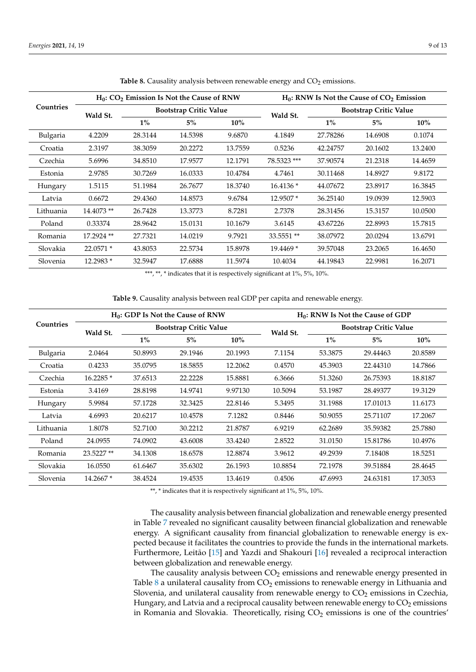<span id="page-8-1"></span>

| Countries | $H_0$ : CO <sub>2</sub> Emission Is Not the Cause of RNW |                               |         | $H_0$ : RNW Is Not the Cause of $CO_2$ Emission |                               |          |         |         |
|-----------|----------------------------------------------------------|-------------------------------|---------|-------------------------------------------------|-------------------------------|----------|---------|---------|
|           | Wald St.                                                 | <b>Bootstrap Critic Value</b> |         | Wald St.                                        | <b>Bootstrap Critic Value</b> |          |         |         |
|           |                                                          | $1\%$                         | $5\%$   | 10%                                             |                               | $1\%$    | $5\%$   | $10\%$  |
| Bulgaria  | 4.2209                                                   | 28.3144                       | 14.5398 | 9.6870                                          | 4.1849                        | 27.78286 | 14.6908 | 0.1074  |
| Croatia   | 2.3197                                                   | 38.3059                       | 20.2272 | 13.7559                                         | 0.5236                        | 42.24757 | 20.1602 | 13.2400 |
| Czechia   | 5.6996                                                   | 34.8510                       | 17.9577 | 12.1791                                         | 78.5323 ***                   | 37.90574 | 21.2318 | 14.4659 |
| Estonia   | 2.9785                                                   | 30.7269                       | 16.0333 | 10.4784                                         | 4.7461                        | 30.11468 | 14.8927 | 9.8172  |
| Hungary   | 1.5115                                                   | 51.1984                       | 26.7677 | 18.3740                                         | $16.4136*$                    | 44.07672 | 23.8917 | 16.3845 |
| Latvia    | 0.6672                                                   | 29.4360                       | 14.8573 | 9.6784                                          | 12.9507 *                     | 36.25140 | 19.0939 | 12.5903 |
| Lithuania | 14.4073**                                                | 26.7428                       | 13.3773 | 8.7281                                          | 2.7378                        | 28.31456 | 15.3157 | 10.0500 |
| Poland    | 0.33374                                                  | 28.9642                       | 15.0131 | 10.1679                                         | 3.6145                        | 43.67226 | 22.8993 | 15.7815 |
| Romania   | 17.2924 **                                               | 27.7321                       | 14.0219 | 9.7921                                          | 33.5551 **                    | 38.07972 | 20.0294 | 13.6791 |
| Slovakia  | $22.0571*$                                               | 43.8053                       | 22.5734 | 15.8978                                         | 19.4469 *                     | 39.57048 | 23.2065 | 16.4650 |
| Slovenia  | 12.2983 *                                                | 32.5947                       | 17.6888 | 11.5974                                         | 10.4034                       | 44.19843 | 22.9981 | 16.2071 |

Table 8. Causality analysis between renewable energy and CO<sub>2</sub> emissions.

\*\*\*, \*\*, \* indicates that it is respectively significant at 1%, 5%, 10%.

**Table 9.** Causality analysis between real GDP per capita and renewable energy.

<span id="page-8-0"></span>

|           | $H_0$ : GDP Is Not the Cause of RNW |                               |         |          | $H_0$ : RNW Is Not the Cause of GDP |         |          |         |
|-----------|-------------------------------------|-------------------------------|---------|----------|-------------------------------------|---------|----------|---------|
| Countries | Wald St.                            | <b>Bootstrap Critic Value</b> |         | Wald St. | <b>Bootstrap Critic Value</b>       |         |          |         |
|           |                                     | $1\%$                         | $5\%$   | $10\%$   |                                     | $1\%$   | $5\%$    | $10\%$  |
| Bulgaria  | 2.0464                              | 50.8993                       | 29.1946 | 20.1993  | 7.1154                              | 53.3875 | 29.44463 | 20.8589 |
| Croatia   | 0.4233                              | 35.0795                       | 18.5855 | 12.2062  | 0.4570                              | 45.3903 | 22.44310 | 14.7866 |
| Czechia   | 16.2285 *                           | 37.6513                       | 22.2228 | 15.8881  | 6.3666                              | 51.3260 | 26.75393 | 18.8187 |
| Estonia   | 3.4169                              | 28.8198                       | 14.9741 | 9.97130  | 10.5094                             | 53.1987 | 28.49377 | 19.3129 |
| Hungary   | 5.9984                              | 57.1728                       | 32.3425 | 22.8146  | 5.3495                              | 31.1988 | 17.01013 | 11.6173 |
| Latvia    | 4.6993                              | 20.6217                       | 10.4578 | 7.1282   | 0.8446                              | 50.9055 | 25.71107 | 17.2067 |
| Lithuania | 1.8078                              | 52.7100                       | 30.2212 | 21.8787  | 6.9219                              | 62.2689 | 35.59382 | 25.7880 |
| Poland    | 24.0955                             | 74.0902                       | 43.6008 | 33.4240  | 2.8522                              | 31.0150 | 15.81786 | 10.4976 |
| Romania   | 23.5227**                           | 34.1308                       | 18.6578 | 12.8874  | 3.9612                              | 49.2939 | 7.18408  | 18.5251 |
| Slovakia  | 16.0550                             | 61.6467                       | 35.6302 | 26.1593  | 10.8854                             | 72.1978 | 39.51884 | 28.4645 |
| Slovenia  | 14.2667 *                           | 38.4524                       | 19.4535 | 13.4619  | 0.4506                              | 47.6993 | 24.63181 | 17.3053 |

\*\*, \* indicates that it is respectively significant at 1%, 5%, 10%.

The causality analysis between financial globalization and renewable energy presented in Table [7](#page-7-1) revealed no significant causality between financial globalization and renewable energy. A significant causality from financial globalization to renewable energy is expected because it facilitates the countries to provide the funds in the international markets. Furthermore, Leitão [\[15\]](#page-10-9) and Yazdi and Shakouri [\[16\]](#page-10-10) revealed a reciprocal interaction between globalization and renewable energy.

The causality analysis between  $CO<sub>2</sub>$  emissions and renewable energy presented in Table [8](#page-8-1) a unilateral causality from  $CO<sub>2</sub>$  emissions to renewable energy in Lithuania and Slovenia, and unilateral causality from renewable energy to  $CO<sub>2</sub>$  emissions in Czechia, Hungary, and Latvia and a reciprocal causality between renewable energy to  $CO<sub>2</sub>$  emissions in Romania and Slovakia. Theoretically, rising  $CO<sub>2</sub>$  emissions is one of the countries'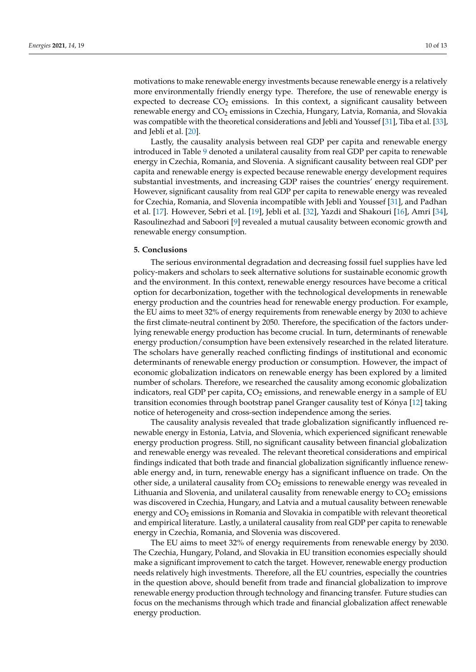motivations to make renewable energy investments because renewable energy is a relatively more environmentally friendly energy type. Therefore, the use of renewable energy is expected to decrease  $CO<sub>2</sub>$  emissions. In this context, a significant causality between renewable energy and CO<sub>2</sub> emissions in Czechia, Hungary, Latvia, Romania, and Slovakia was compatible with the theoretical considerations and Jebli and Youssef [\[31\]](#page-11-5), Tiba et al. [\[33\]](#page-11-7), and Jebli et al. [\[20\]](#page-10-15).

Lastly, the causality analysis between real GDP per capita and renewable energy introduced in Table [9](#page-8-0) denoted a unilateral causality from real GDP per capita to renewable energy in Czechia, Romania, and Slovenia. A significant causality between real GDP per capita and renewable energy is expected because renewable energy development requires substantial investments, and increasing GDP raises the countries' energy requirement. However, significant causality from real GDP per capita to renewable energy was revealed for Czechia, Romania, and Slovenia incompatible with Jebli and Youssef [\[31\]](#page-11-5), and Padhan et al. [\[17\]](#page-10-11). However, Sebri et al. [\[19\]](#page-10-13), Jebli et al. [\[32\]](#page-11-6), Yazdi and Shakouri [\[16\]](#page-10-10), Amri [\[34\]](#page-11-8), Rasoulinezhad and Saboori [\[9\]](#page-10-14) revealed a mutual causality between economic growth and renewable energy consumption.

## **5. Conclusions**

The serious environmental degradation and decreasing fossil fuel supplies have led policy-makers and scholars to seek alternative solutions for sustainable economic growth and the environment. In this context, renewable energy resources have become a critical option for decarbonization, together with the technological developments in renewable energy production and the countries head for renewable energy production. For example, the EU aims to meet 32% of energy requirements from renewable energy by 2030 to achieve the first climate-neutral continent by 2050. Therefore, the specification of the factors underlying renewable energy production has become crucial. In turn, determinants of renewable energy production/consumption have been extensively researched in the related literature. The scholars have generally reached conflicting findings of institutional and economic determinants of renewable energy production or consumption. However, the impact of economic globalization indicators on renewable energy has been explored by a limited number of scholars. Therefore, we researched the causality among economic globalization indicators, real GDP per capita,  $CO<sub>2</sub>$  emissions, and renewable energy in a sample of EU transition economies through bootstrap panel Granger causality test of Kónya [\[12\]](#page-10-6) taking notice of heterogeneity and cross-section independence among the series.

The causality analysis revealed that trade globalization significantly influenced renewable energy in Estonia, Latvia, and Slovenia, which experienced significant renewable energy production progress. Still, no significant causality between financial globalization and renewable energy was revealed. The relevant theoretical considerations and empirical findings indicated that both trade and financial globalization significantly influence renewable energy and, in turn, renewable energy has a significant influence on trade. On the other side, a unilateral causality from  $CO<sub>2</sub>$  emissions to renewable energy was revealed in Lithuania and Slovenia, and unilateral causality from renewable energy to  $CO<sub>2</sub>$  emissions was discovered in Czechia, Hungary, and Latvia and a mutual causality between renewable energy and  $CO<sub>2</sub>$  emissions in Romania and Slovakia in compatible with relevant theoretical and empirical literature. Lastly, a unilateral causality from real GDP per capita to renewable energy in Czechia, Romania, and Slovenia was discovered.

The EU aims to meet 32% of energy requirements from renewable energy by 2030. The Czechia, Hungary, Poland, and Slovakia in EU transition economies especially should make a significant improvement to catch the target. However, renewable energy production needs relatively high investments. Therefore, all the EU countries, especially the countries in the question above, should benefit from trade and financial globalization to improve renewable energy production through technology and financing transfer. Future studies can focus on the mechanisms through which trade and financial globalization affect renewable energy production.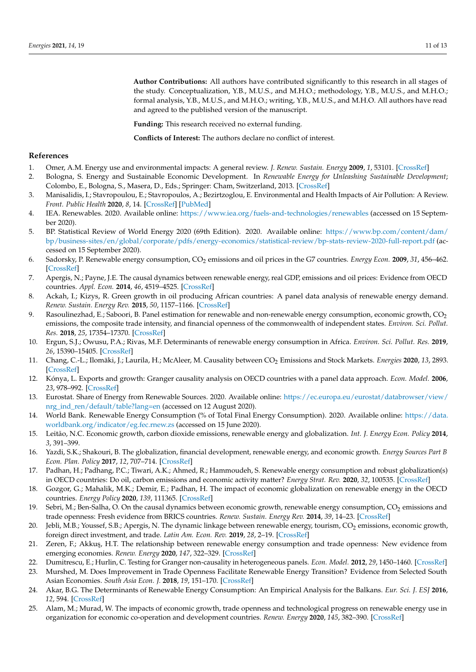**Author Contributions:** All authors have contributed significantly to this research in all stages of the study. Conceptualization, Y.B., M.U.S., and M.H.O.; methodology, Y.B., M.U.S., and M.H.O.; formal analysis, Y.B., M.U.S., and M.H.O.; writing, Y.B., M.U.S., and M.H.O. All authors have read and agreed to the published version of the manuscript.

**Funding:** This research received no external funding.

**Conflicts of Interest:** The authors declare no conflict of interest.

#### **References**

- <span id="page-10-0"></span>1. Omer, A.M. Energy use and environmental impacts: A general review. *J. Renew. Sustain. Energy* **2009**, *1*, 53101. [\[CrossRef\]](http://dx.doi.org/10.1063/1.3220701)
- 2. Bologna, S. Energy and Sustainable Economic Development. In *Renewable Energy for Unleashing Sustainable Development*; Colombo, E., Bologna, S., Masera, D., Eds.; Springer: Cham, Switzerland, 2013. [\[CrossRef\]](http://dx.doi.org/10.1007/978-3-319-00284-2_8)
- <span id="page-10-1"></span>3. Manisalidis, I.; Stavropoulou, E.; Stavropoulos, A.; Bezirtzoglou, E. Environmental and Health Impacts of Air Pollution: A Review. *Front. Public Health* **2020**, *8*, 14. [\[CrossRef\]](http://dx.doi.org/10.3389/fpubh.2020.00014) [\[PubMed\]](http://www.ncbi.nlm.nih.gov/pubmed/32154200)
- <span id="page-10-2"></span>4. IEA. Renewables. 2020. Available online: <https://www.iea.org/fuels-and-technologies/renewables> (accessed on 15 September 2020).
- <span id="page-10-3"></span>5. BP. Statistical Review of World Energy 2020 (69th Edition). 2020. Available online: [https://www.bp.com/content/dam/](https://www.bp.com/content/dam/bp/business-sites/en/global/corporate/pdfs/energy-economics/statistical-review/bp-stats-review-2020-full-report.pdf) [bp/business-sites/en/global/corporate/pdfs/energy-economics/statistical-review/bp-stats-review-2020-full-report.pdf](https://www.bp.com/content/dam/bp/business-sites/en/global/corporate/pdfs/energy-economics/statistical-review/bp-stats-review-2020-full-report.pdf) (accessed on 15 September 2020).
- <span id="page-10-4"></span>6. Sadorsky, P. Renewable energy consumption, CO<sup>2</sup> emissions and oil prices in the G7 countries. *Energy Econ.* **2009**, *31*, 456–462. [\[CrossRef\]](http://dx.doi.org/10.1016/j.eneco.2008.12.010)
- 7. Apergis, N.; Payne, J.E. The causal dynamics between renewable energy, real GDP, emissions and oil prices: Evidence from OECD countries. *Appl. Econ.* **2014**, *46*, 4519–4525. [\[CrossRef\]](http://dx.doi.org/10.1080/00036846.2014.964834)
- 8. Ackah, I.; Kizys, R. Green growth in oil producing African countries: A panel data analysis of renewable energy demand. *Renew. Sustain. Energy Rev.* **2015**, *50*, 1157–1166. [\[CrossRef\]](http://dx.doi.org/10.1016/j.rser.2015.05.030)
- <span id="page-10-14"></span>9. Rasoulinezhad, E.; Saboori, B. Panel estimation for renewable and non-renewable energy consumption, economic growth,  $CO<sub>2</sub>$ emissions, the composite trade intensity, and financial openness of the commonwealth of independent states. *Environ. Sci. Pollut. Res.* **2018**, *25*, 17354–17370. [\[CrossRef\]](http://dx.doi.org/10.1007/s11356-018-1827-3)
- <span id="page-10-21"></span>10. Ergun, S.J.; Owusu, P.A.; Rivas, M.F. Determinants of renewable energy consumption in Africa. *Environ. Sci. Pollut. Res.* **2019**, *26*, 15390–15405. [\[CrossRef\]](http://dx.doi.org/10.1007/s11356-019-04567-7)
- <span id="page-10-5"></span>11. Chang, C.-L.; Ilomäki, J.; Laurila, H.; McAleer, M. Causality between CO<sup>2</sup> Emissions and Stock Markets. *Energies* **2020**, *13*, 2893. [\[CrossRef\]](http://dx.doi.org/10.3390/en13112893)
- <span id="page-10-6"></span>12. Kónya, L. Exports and growth: Granger causality analysis on OECD countries with a panel data approach. *Econ. Model.* **2006**, *23*, 978–992. [\[CrossRef\]](http://dx.doi.org/10.1016/j.econmod.2006.04.008)
- <span id="page-10-7"></span>13. Eurostat. Share of Energy from Renewable Sources. 2020. Available online: [https://ec.europa.eu/eurostat/databrowser/view/](https://ec.europa.eu/eurostat/databrowser/view/nrg_ind_ren/default/table?lang=en) [nrg\\_ind\\_ren/default/table?lang=en](https://ec.europa.eu/eurostat/databrowser/view/nrg_ind_ren/default/table?lang=en) (accessed on 12 August 2020).
- <span id="page-10-8"></span>14. World Bank. Renewable Energy Consumption (% of Total Final Energy Consumption). 2020. Available online: [https://data.](https://data.worldbank.org/indicator/eg.fec.rnew.zs) [worldbank.org/indicator/eg.fec.rnew.zs](https://data.worldbank.org/indicator/eg.fec.rnew.zs) (accessed on 15 June 2020).
- <span id="page-10-9"></span>15. Leitão, N.C. Economic growth, carbon dioxide emissions, renewable energy and globalization. *Int. J. Energy Econ. Policy* **2014**, *3*, 391–399.
- <span id="page-10-10"></span>16. Yazdi, S.K.; Shakouri, B. The globalization, financial development, renewable energy, and economic growth. *Energy Sources Part B Econ. Plan. Policy* **2017**, *12*, 707–714. [\[CrossRef\]](http://dx.doi.org/10.1080/15567249.2017.1292329)
- <span id="page-10-11"></span>17. Padhan, H.; Padhang, P.C.; Tiwari, A.K.; Ahmed, R.; Hammoudeh, S. Renewable energy consumption and robust globalization(s) in OECD countries: Do oil, carbon emissions and economic activity matter? *Energy Strat. Rev.* **2020**, *32*, 100535. [\[CrossRef\]](http://dx.doi.org/10.1016/j.esr.2020.100535)
- <span id="page-10-12"></span>18. Gozgor, G.; Mahalik, M.K.; Demir, E.; Padhan, H. The impact of economic globalization on renewable energy in the OECD countries. *Energy Policy* **2020**, *139*, 111365. [\[CrossRef\]](http://dx.doi.org/10.1016/j.enpol.2020.111365)
- <span id="page-10-13"></span>19. Sebri, M.; Ben-Salha, O. On the causal dynamics between economic growth, renewable energy consumption, CO<sub>2</sub> emissions and trade openness: Fresh evidence from BRICS countries. *Renew. Sustain. Energy Rev.* **2014**, *39*, 14–23. [\[CrossRef\]](http://dx.doi.org/10.1016/j.rser.2014.07.033)
- <span id="page-10-15"></span>20. Jebli, M.B.; Youssef, S.B.; Apergis, N. The dynamic linkage between renewable energy, tourism, CO<sub>2</sub> emissions, economic growth, foreign direct investment, and trade. *Latin Am. Econ. Rev.* **2019**, *28*, 2–19. [\[CrossRef\]](http://dx.doi.org/10.1186/s40503-019-0063-7)
- <span id="page-10-16"></span>21. Zeren, F.; Akkuş, H.T. The relationship between renewable energy consumption and trade openness: New evidence from emerging economies. *Renew. Energy* **2020**, *147*, 322–329. [\[CrossRef\]](http://dx.doi.org/10.1016/j.renene.2019.09.006)
- <span id="page-10-17"></span>22. Dumitrescu, E.; Hurlin, C. Testing for Granger non-causality in heterogeneous panels. *Econ. Model.* **2012**, *29*, 1450–1460. [\[CrossRef\]](http://dx.doi.org/10.1016/j.econmod.2012.02.014)
- <span id="page-10-18"></span>23. Murshed, M. Does Improvement in Trade Openness Facilitate Renewable Energy Transition? Evidence from Selected South Asian Economies. *South Asia Econ. J.* **2018**, *19*, 151–170. [\[CrossRef\]](http://dx.doi.org/10.1177/1391561418794691)
- <span id="page-10-19"></span>24. Akar, B.G. The Determinants of Renewable Energy Consumption: An Empirical Analysis for the Balkans. *Eur. Sci. J. ESJ* **2016**, *12*, 594. [\[CrossRef\]](http://dx.doi.org/10.19044/esj.2016.v12n11p594)
- <span id="page-10-20"></span>25. Alam, M.; Murad, W. The impacts of economic growth, trade openness and technological progress on renewable energy use in organization for economic co-operation and development countries. *Renew. Energy* **2020**, *145*, 382–390. [\[CrossRef\]](http://dx.doi.org/10.1016/j.renene.2019.06.054)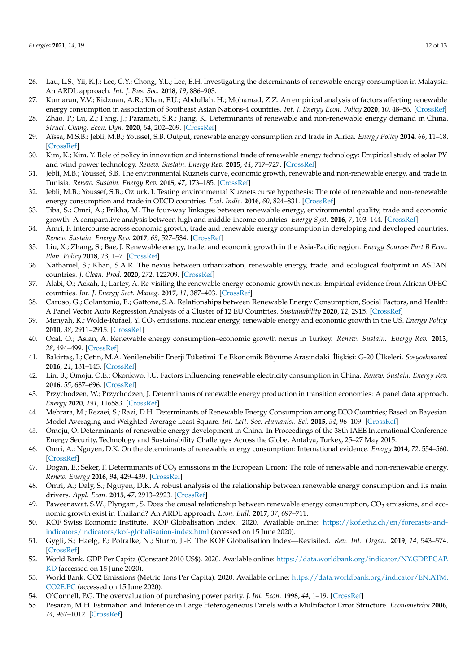- <span id="page-11-0"></span>26. Lau, L.S.; Yii, K.J.; Lee, C.Y.; Chong, Y.L.; Lee, E.H. Investigating the determinants of renewable energy consumption in Malaysia: An ARDL approach. *Int. J. Bus. Soc.* **2018**, *19*, 886–903.
- <span id="page-11-1"></span>27. Kumaran, V.V.; Ridzuan, A.R.; Khan, F.U.; Abdullah, H.; Mohamad, Z.Z. An empirical analysis of factors affecting renewable energy consumption in association of Southeast Asian Nations-4 countries. *Int. J. Energy Econ. Policy* **2020**, *10*, 48–56. [\[CrossRef\]](http://dx.doi.org/10.32479/ijeep.8142)
- <span id="page-11-2"></span>28. Zhao, P.; Lu, Z.; Fang, J.; Paramati, S.R.; Jiang, K. Determinants of renewable and non-renewable energy demand in China. *Struct. Chang. Econ. Dyn.* **2020**, *54*, 202–209. [\[CrossRef\]](http://dx.doi.org/10.1016/j.strueco.2020.05.002)
- <span id="page-11-3"></span>29. Aïssa, M.S.B.; Jebli, M.B.; Youssef, S.B. Output, renewable energy consumption and trade in Africa. *Energy Policy* **2014**, *66*, 11–18. [\[CrossRef\]](http://dx.doi.org/10.1016/j.enpol.2013.11.023)
- <span id="page-11-4"></span>30. Kim, K.; Kim, Y. Role of policy in innovation and international trade of renewable energy technology: Empirical study of solar PV and wind power technology. *Renew. Sustain. Energy Rev.* **2015**, *44*, 717–727. [\[CrossRef\]](http://dx.doi.org/10.1016/j.rser.2015.01.033)
- <span id="page-11-5"></span>31. Jebli, M.B.; Youssef, S.B. The environmental Kuznets curve, economic growth, renewable and non-renewable energy, and trade in Tunisia. *Renew. Sustain. Energy Rev.* **2015**, *47*, 173–185. [\[CrossRef\]](http://dx.doi.org/10.1016/j.rser.2015.02.049)
- <span id="page-11-6"></span>32. Jebli, M.B.; Youssef, S.B.; Ozturk, I. Testing environmental Kuznets curve hypothesis: The role of renewable and non-renewable energy consumption and trade in OECD countries. *Ecol. Indic.* **2016**, *60*, 824–831. [\[CrossRef\]](http://dx.doi.org/10.1016/j.ecolind.2015.08.031)
- <span id="page-11-7"></span>33. Tiba, S.; Omri, A.; Frikha, M. The four-way linkages between renewable energy, environmental quality, trade and economic growth: A comparative analysis between high and middle-income countries. *Energy Syst.* **2016**, *7*, 103–144. [\[CrossRef\]](http://dx.doi.org/10.1007/s12667-015-0171-7)
- <span id="page-11-8"></span>34. Amri, F. Intercourse across economic growth, trade and renewable energy consumption in developing and developed countries. *Renew. Sustain. Energy Rev.* **2017**, *69*, 527–534. [\[CrossRef\]](http://dx.doi.org/10.1016/j.rser.2016.11.230)
- <span id="page-11-9"></span>35. Liu, X.; Zhang, S.; Bae, J. Renewable energy, trade, and economic growth in the Asia-Pacific region. *Energy Sources Part B Econ. Plan. Policy* **2018**, *13*, 1–7. [\[CrossRef\]](http://dx.doi.org/10.1080/15567249.2017.1327994)
- <span id="page-11-10"></span>36. Nathaniel, S.; Khan, S.A.R. The nexus between urbanization, renewable energy, trade, and ecological footprint in ASEAN countries. *J. Clean. Prod.* **2020**, *272*, 122709. [\[CrossRef\]](http://dx.doi.org/10.1016/j.jclepro.2020.122709)
- <span id="page-11-11"></span>37. Alabi, O.; Ackah, I.; Lartey, A. Re-visiting the renewable energy-economic growth nexus: Empirical evidence from African OPEC countries. *Int. J. Energy Sect. Manag.* **2017**, *11*, 387–403. [\[CrossRef\]](http://dx.doi.org/10.1108/IJESM-07-2016-0002)
- <span id="page-11-12"></span>38. Caruso, G.; Colantonio, E.; Gattone, S.A. Relationships between Renewable Energy Consumption, Social Factors, and Health: A Panel Vector Auto Regression Analysis of a Cluster of 12 EU Countries. *Sustainability* **2020**, *12*, 2915. [\[CrossRef\]](http://dx.doi.org/10.3390/su12072915)
- <span id="page-11-13"></span>39. Menyah, K.; Wolde-Rufael, Y. CO<sup>2</sup> emissions, nuclear energy, renewable energy and economic growth in the US. *Energy Policy* **2010**, *38*, 2911–2915. [\[CrossRef\]](http://dx.doi.org/10.1016/j.enpol.2010.01.024)
- <span id="page-11-14"></span>40. Ocal, O.; Aslan, A. Renewable energy consumption–economic growth nexus in Turkey. *Renew. Sustain. Energy Rev.* **2013**, *28*, 494–499. [\[CrossRef\]](http://dx.doi.org/10.1016/j.rser.2013.08.036)
- <span id="page-11-15"></span>41. Bakirta¸s, I.; Çetin, M.A. Yenilenebilir Enerji Tüketimi ˙Ile Ekonomik Büyüme Arasındaki ˙˙Ili¸skisi: G-20 Ülkeleri. *Sosyoekonomi* **2016**, *24*, 131–145. [\[CrossRef\]](http://dx.doi.org/10.17233/se.43089)
- <span id="page-11-16"></span>42. Lin, B.; Omoju, O.E.; Okonkwo, J.U. Factors influencing renewable electricity consumption in China. *Renew. Sustain. Energy Rev.* **2016**, *55*, 687–696. [\[CrossRef\]](http://dx.doi.org/10.1016/j.rser.2015.11.003)
- <span id="page-11-17"></span>43. Przychodzen, W.; Przychodzen, J. Determinants of renewable energy production in transition economies: A panel data approach. *Energy* **2020**, *191*, 116583. [\[CrossRef\]](http://dx.doi.org/10.1016/j.energy.2019.116583)
- <span id="page-11-18"></span>44. Mehrara, M.; Rezaei, S.; Razi, D.H. Determinants of Renewable Energy Consumption among ECO Countries; Based on Bayesian Model Averaging and Weighted-Average Least Square. *Int. Lett. Soc. Humanist. Sci.* **2015**, *54*, 96–109. [\[CrossRef\]](http://dx.doi.org/10.18052/www.scipress.com/ILSHS.54.96)
- <span id="page-11-19"></span>45. Omoju, O. Determinants of renewable energy development in China. In Proceedings of the 38th IAEE International Conference Energy Security, Technology and Sustainability Challenges Across the Globe, Antalya, Turkey, 25–27 May 2015.
- <span id="page-11-20"></span>46. Omri, A.; Nguyen, D.K. On the determinants of renewable energy consumption: International evidence. *Energy* **2014**, *72*, 554–560. [\[CrossRef\]](http://dx.doi.org/10.1016/j.energy.2014.05.081)
- <span id="page-11-21"></span>47. Dogan, E.; Seker, F. Determinants of  $CO<sub>2</sub>$  emissions in the European Union: The role of renewable and non-renewable energy. *Renew. Energy* **2016**, *94*, 429–439. [\[CrossRef\]](http://dx.doi.org/10.1016/j.renene.2016.03.078)
- <span id="page-11-22"></span>48. Omri, A.; Daly, S.; Nguyen, D.K. A robust analysis of the relationship between renewable energy consumption and its main drivers. *Appl. Econ.* **2015**, *47*, 2913–2923. [\[CrossRef\]](http://dx.doi.org/10.1080/00036846.2015.1011312)
- <span id="page-11-23"></span>49. Paweenawat, S.W.; Plyngam, S. Does the causal relationship between renewable energy consumption, CO<sub>2</sub> emissions, and economic growth exist in Thailand? An ARDL approach. *Econ. Bull.* **2017**, *37*, 697–711.
- <span id="page-11-24"></span>50. KOF Swiss Economic Institute. KOF Globalisation Index. 2020. Available online: [https://kof.ethz.ch/en/forecasts-and](https://kof.ethz.ch/en/forecasts-and-indicators/indicators/kof-globalisation-index.html)[indicators/indicators/kof-globalisation-index.html](https://kof.ethz.ch/en/forecasts-and-indicators/indicators/kof-globalisation-index.html) (accessed on 15 June 2020).
- <span id="page-11-25"></span>51. Gygli, S.; Haelg, F.; Potrafke, N.; Sturm, J.-E. The KOF Globalisation Index—Revisited. *Rev. Int. Organ.* **2019**, *14*, 543–574. [\[CrossRef\]](http://dx.doi.org/10.1007/s11558-019-09344-2)
- <span id="page-11-26"></span>52. World Bank. GDP Per Capita (Constant 2010 US\$). 2020. Available online: [https://data.worldbank.org/indicator/NY.GDP.PCAP.](https://data.worldbank.org/indicator/NY.GDP.PCAP.KD) [KD](https://data.worldbank.org/indicator/NY.GDP.PCAP.KD) (accessed on 15 June 2020).
- <span id="page-11-27"></span>53. World Bank. CO2 Emissions (Metric Tons Per Capita). 2020. Available online: [https://data.worldbank.org/indicator/EN.ATM.](https://data.worldbank.org/indicator/EN.ATM.CO2E.PC) [CO2E.PC](https://data.worldbank.org/indicator/EN.ATM.CO2E.PC) (accessed on 15 June 2020).
- <span id="page-11-28"></span>54. O'Connell, P.G. The overvaluation of purchasing power parity. *J. Int. Econ.* **1998**, *44*, 1–19. [\[CrossRef\]](http://dx.doi.org/10.1016/S0022-1996(97)00017-2)
- <span id="page-11-29"></span>55. Pesaran, M.H. Estimation and Inference in Large Heterogeneous Panels with a Multifactor Error Structure. *Econometrica* **2006**, *74*, 967–1012. [\[CrossRef\]](http://dx.doi.org/10.1111/j.1468-0262.2006.00692.x)